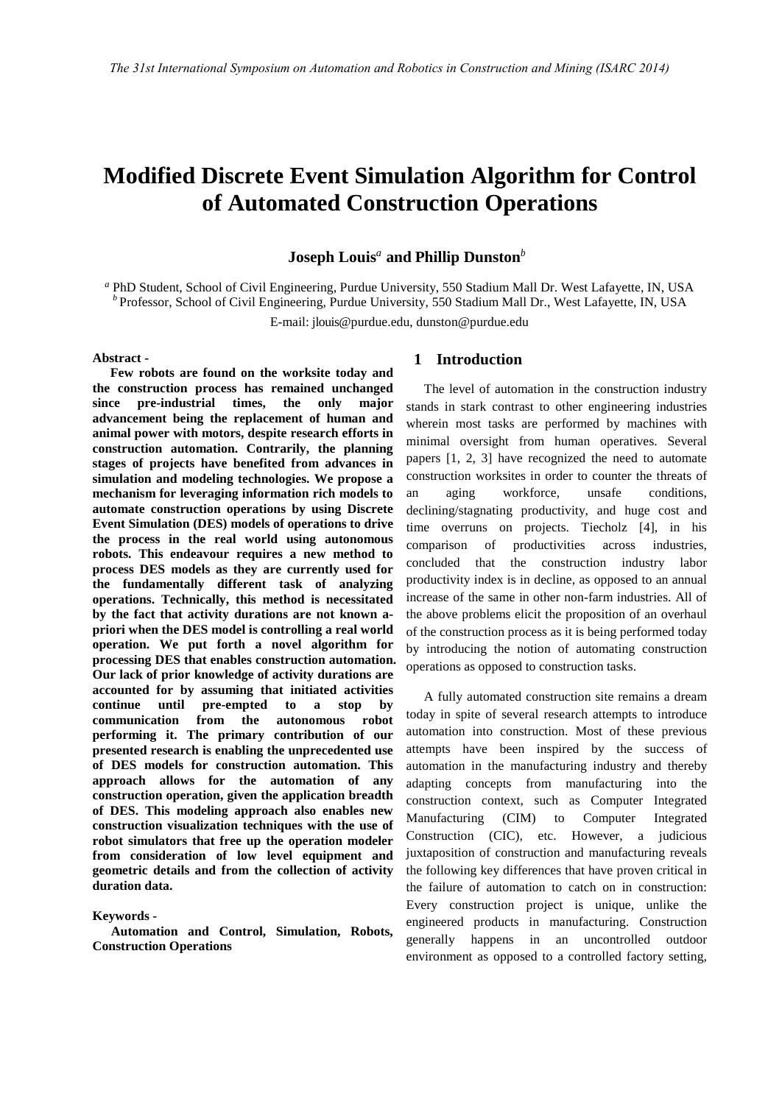# **Modified Discrete Event Simulation Algorithm for Control of Automated Construction Operations**

# **Joseph Louis***<sup>a</sup>***and Phillip Dunston***<sup>b</sup>*

 $^a$  PhD Student, School of Civil Engineering, Purdue University, 550 Stadium Mall Dr. West Lafayette, IN, USA  $^b$  Professor, School of Civil Engineering, Purdue University, 550 Stadium Mall Dr., West Lafayette, IN, USA

E-mail: jlouis@purdue.edu, dunsto[n@purdue.edu](mailto:Auhor2@cc.dd.edu)

#### **Abstract -**

**Few robots are found on the worksite today and the construction process has remained unchanged since pre-industrial times, the only major advancement being the replacement of human and animal power with motors, despite research efforts in construction automation. Contrarily, the planning stages of projects have benefited from advances in simulation and modeling technologies. We propose a mechanism for leveraging information rich models to automate construction operations by using Discrete Event Simulation (DES) models of operations to drive the process in the real world using autonomous robots. This endeavour requires a new method to process DES models as they are currently used for the fundamentally different task of analyzing operations. Technically, this method is necessitated by the fact that activity durations are not known apriori when the DES model is controlling a real world operation. We put forth a novel algorithm for processing DES that enables construction automation. Our lack of prior knowledge of activity durations are accounted for by assuming that initiated activities continue until pre-empted to a stop by communication from the autonomous robot performing it. The primary contribution of our presented research is enabling the unprecedented use of DES models for construction automation. This approach allows for the automation of any construction operation, given the application breadth of DES. This modeling approach also enables new construction visualization techniques with the use of robot simulators that free up the operation modeler from consideration of low level equipment and geometric details and from the collection of activity duration data.** 

#### **Keywords -**

**Automation and Control, Simulation, Robots, Construction Operations**

## **1 Introduction**

The level of automation in the construction industry stands in stark contrast to other engineering industries wherein most tasks are performed by machines with minimal oversight from human operatives. Several papers [1, 2, 3] have recognized the need to automate construction worksites in order to counter the threats of an aging workforce, unsafe conditions, declining/stagnating productivity, and huge cost and time overruns on projects. Tiecholz [4], in his comparison of productivities across industries, concluded that the construction industry labor productivity index is in decline, as opposed to an annual increase of the same in other non-farm industries. All of the above problems elicit the proposition of an overhaul of the construction process as it is being performed today by introducing the notion of automating construction operations as opposed to construction tasks.

A fully automated construction site remains a dream today in spite of several research attempts to introduce automation into construction. Most of these previous attempts have been inspired by the success of automation in the manufacturing industry and thereby adapting concepts from manufacturing into the construction context, such as Computer Integrated Manufacturing (CIM) to Computer Integrated Construction (CIC), etc. However, a judicious juxtaposition of construction and manufacturing reveals the following key differences that have proven critical in the failure of automation to catch on in construction: Every construction project is unique, unlike the engineered products in manufacturing. Construction generally happens in an uncontrolled outdoor environment as opposed to a controlled factory setting,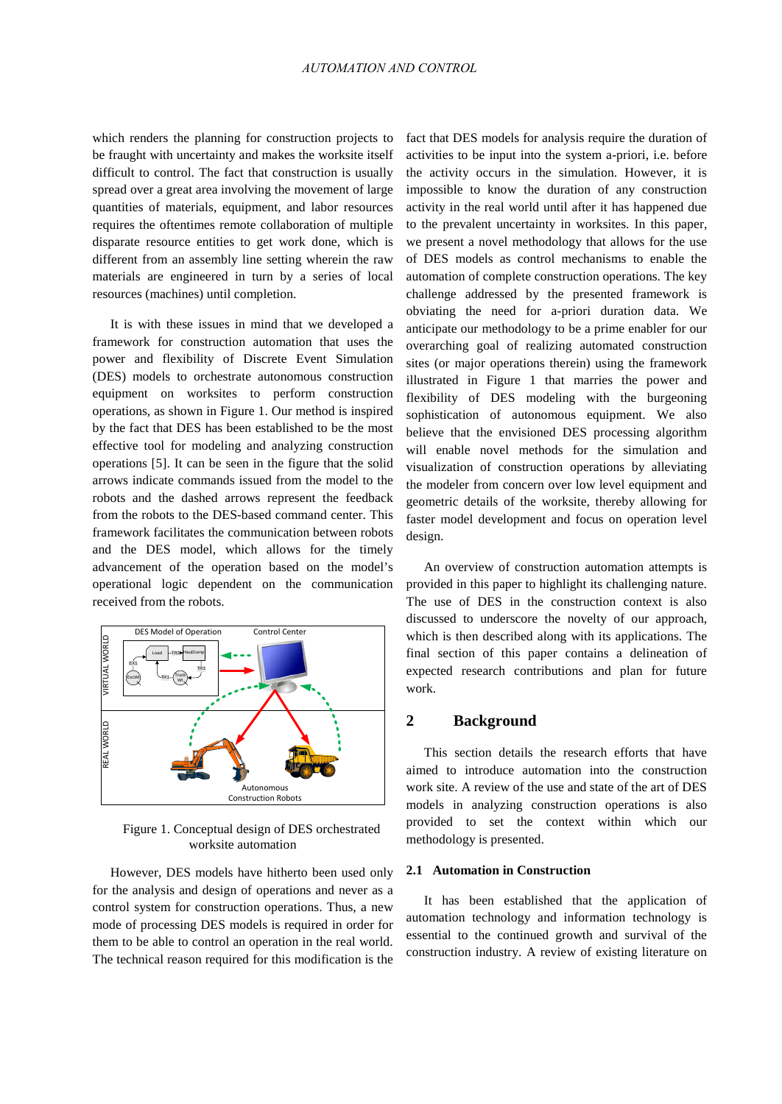### *AUTOMATION AND CONTROL*

which renders the planning for construction projects to be fraught with uncertainty and makes the worksite itself difficult to control. The fact that construction is usually spread over a great area involving the movement of large quantities of materials, equipment, and labor resources requires the oftentimes remote collaboration of multiple disparate resource entities to get work done, which is different from an assembly line setting wherein the raw materials are engineered in turn by a series of local resources (machines) until completion.

It is with these issues in mind that we developed a framework for construction automation that uses the power and flexibility of Discrete Event Simulation (DES) models to orchestrate autonomous construction equipment on worksites to perform construction operations, as shown in Figure 1. Our method is inspired by the fact that DES has been established to be the most effective tool for modeling and analyzing construction operations [5]. It can be seen in the figure that the solid arrows indicate commands issued from the model to the robots and the dashed arrows represent the feedback from the robots to the DES-based command center. This framework facilitates the communication between robots and the DES model, which allows for the timely advancement of the operation based on the model's operational logic dependent on the communication received from the robots.



Figure 1. Conceptual design of DES orchestrated worksite automation

However, DES models have hitherto been used only for the analysis and design of operations and never as a control system for construction operations. Thus, a new mode of processing DES models is required in order for them to be able to control an operation in the real world. The technical reason required for this modification is the

fact that DES models for analysis require the duration of activities to be input into the system a-priori, i.e. before the activity occurs in the simulation. However, it is impossible to know the duration of any construction activity in the real world until after it has happened due to the prevalent uncertainty in worksites. In this paper, we present a novel methodology that allows for the use of DES models as control mechanisms to enable the automation of complete construction operations. The key challenge addressed by the presented framework is obviating the need for a-priori duration data. We anticipate our methodology to be a prime enabler for our overarching goal of realizing automated construction sites (or major operations therein) using the framework illustrated in Figure 1 that marries the power and flexibility of DES modeling with the burgeoning sophistication of autonomous equipment. We also believe that the envisioned DES processing algorithm will enable novel methods for the simulation and visualization of construction operations by alleviating the modeler from concern over low level equipment and geometric details of the worksite, thereby allowing for faster model development and focus on operation level design.

An overview of construction automation attempts is provided in this paper to highlight its challenging nature. The use of DES in the construction context is also discussed to underscore the novelty of our approach, which is then described along with its applications. The final section of this paper contains a delineation of expected research contributions and plan for future work.

## **2 Background**

This section details the research efforts that have aimed to introduce automation into the construction work site. A review of the use and state of the art of DES models in analyzing construction operations is also provided to set the context within which our methodology is presented.

#### **2.1 Automation in Construction**

It has been established that the application of automation technology and information technology is essential to the continued growth and survival of the construction industry. A review of existing literature on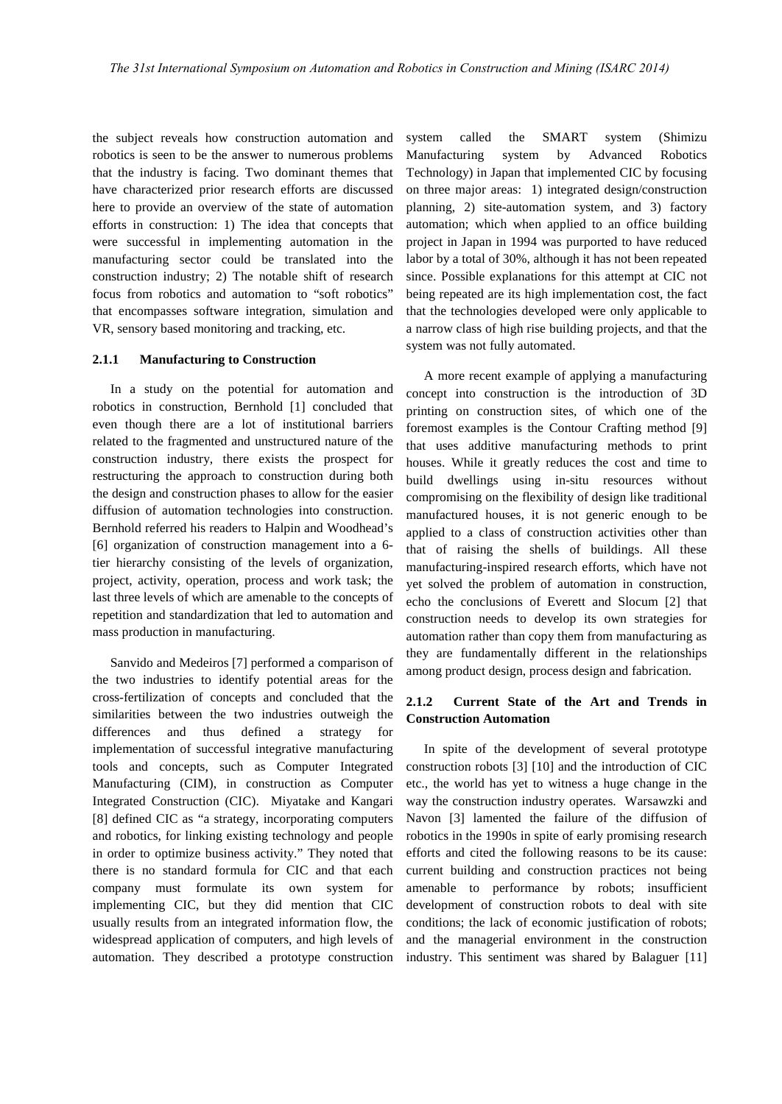the subject reveals how construction automation and robotics is seen to be the answer to numerous problems that the industry is facing. Two dominant themes that have characterized prior research efforts are discussed here to provide an overview of the state of automation efforts in construction: 1) The idea that concepts that were successful in implementing automation in the manufacturing sector could be translated into the construction industry; 2) The notable shift of research focus from robotics and automation to "soft robotics" that encompasses software integration, simulation and VR, sensory based monitoring and tracking, etc.

#### **2.1.1 Manufacturing to Construction**

In a study on the potential for automation and robotics in construction, Bernhold [1] concluded that even though there are a lot of institutional barriers related to the fragmented and unstructured nature of the construction industry, there exists the prospect for restructuring the approach to construction during both the design and construction phases to allow for the easier diffusion of automation technologies into construction. Bernhold referred his readers to Halpin and Woodhead's [6] organization of construction management into a 6 tier hierarchy consisting of the levels of organization, project, activity, operation, process and work task; the last three levels of which are amenable to the concepts of repetition and standardization that led to automation and mass production in manufacturing.

Sanvido and Medeiros [7] performed a comparison of the two industries to identify potential areas for the cross-fertilization of concepts and concluded that the similarities between the two industries outweigh the differences and thus defined a strategy for implementation of successful integrative manufacturing tools and concepts, such as Computer Integrated Manufacturing (CIM), in construction as Computer Integrated Construction (CIC). Miyatake and Kangari [8] defined CIC as "a strategy, incorporating computers and robotics, for linking existing technology and people in order to optimize business activity." They noted that there is no standard formula for CIC and that each company must formulate its own system for implementing CIC, but they did mention that CIC usually results from an integrated information flow, the widespread application of computers, and high levels of automation. They described a prototype construction system called the SMART system (Shimizu Manufacturing system by Advanced Robotics Technology) in Japan that implemented CIC by focusing on three major areas: 1) integrated design/construction planning, 2) site-automation system, and 3) factory automation; which when applied to an office building project in Japan in 1994 was purported to have reduced labor by a total of 30%, although it has not been repeated since. Possible explanations for this attempt at CIC not being repeated are its high implementation cost, the fact that the technologies developed were only applicable to a narrow class of high rise building projects, and that the system was not fully automated.

A more recent example of applying a manufacturing concept into construction is the introduction of 3D printing on construction sites, of which one of the foremost examples is the Contour Crafting method [9] that uses additive manufacturing methods to print houses. While it greatly reduces the cost and time to build dwellings using in-situ resources without compromising on the flexibility of design like traditional manufactured houses, it is not generic enough to be applied to a class of construction activities other than that of raising the shells of buildings. All these manufacturing-inspired research efforts, which have not yet solved the problem of automation in construction, echo the conclusions of Everett and Slocum [2] that construction needs to develop its own strategies for automation rather than copy them from manufacturing as they are fundamentally different in the relationships among product design, process design and fabrication.

# **2.1.2 Current State of the Art and Trends in Construction Automation**

In spite of the development of several prototype construction robots [3] [10] and the introduction of CIC etc., the world has yet to witness a huge change in the way the construction industry operates. Warsawzki and Navon [3] lamented the failure of the diffusion of robotics in the 1990s in spite of early promising research efforts and cited the following reasons to be its cause: current building and construction practices not being amenable to performance by robots; insufficient development of construction robots to deal with site conditions; the lack of economic justification of robots; and the managerial environment in the construction industry. This sentiment was shared by Balaguer [11]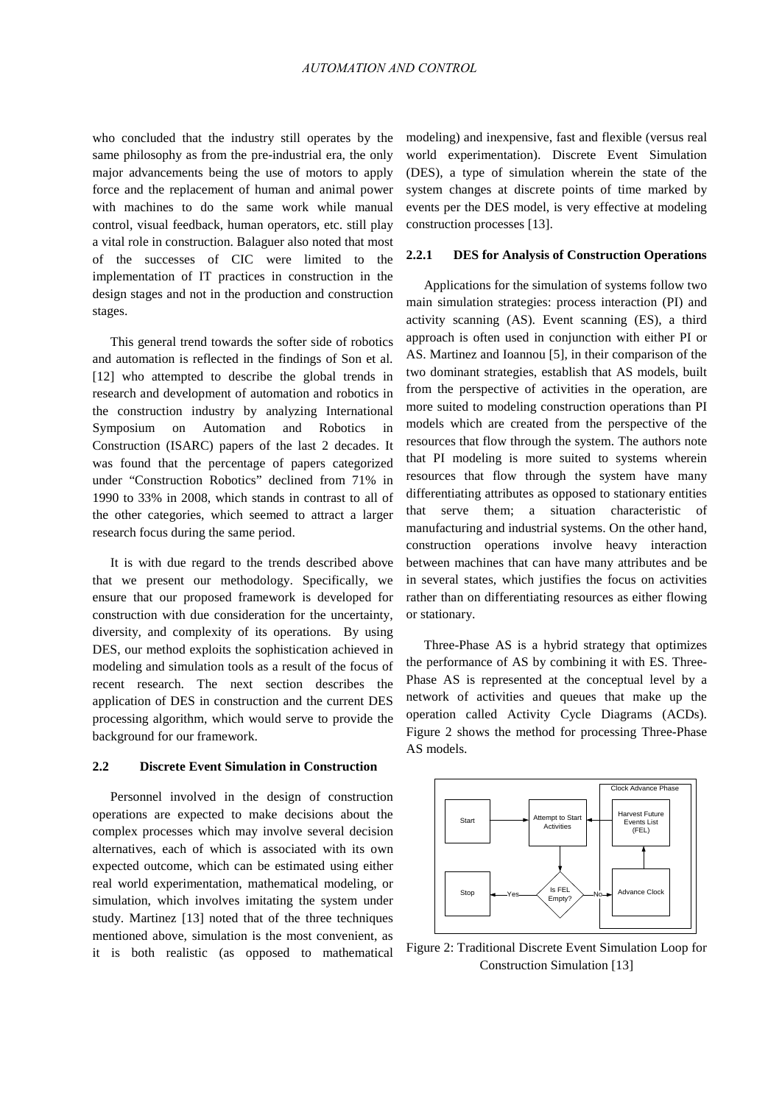who concluded that the industry still operates by the same philosophy as from the pre-industrial era, the only major advancements being the use of motors to apply force and the replacement of human and animal power with machines to do the same work while manual control, visual feedback, human operators, etc. still play a vital role in construction. Balaguer also noted that most of the successes of CIC were limited to the implementation of IT practices in construction in the design stages and not in the production and construction stages.

This general trend towards the softer side of robotics and automation is reflected in the findings of Son et al. [12] who attempted to describe the global trends in research and development of automation and robotics in the construction industry by analyzing International Symposium on Automation and Robotics in Construction (ISARC) papers of the last 2 decades. It was found that the percentage of papers categorized under "Construction Robotics" declined from 71% in 1990 to 33% in 2008, which stands in contrast to all of the other categories, which seemed to attract a larger research focus during the same period.

It is with due regard to the trends described above that we present our methodology. Specifically, we ensure that our proposed framework is developed for construction with due consideration for the uncertainty, diversity, and complexity of its operations. By using DES, our method exploits the sophistication achieved in modeling and simulation tools as a result of the focus of recent research. The next section describes the application of DES in construction and the current DES processing algorithm, which would serve to provide the background for our framework.

#### **2.2 Discrete Event Simulation in Construction**

Personnel involved in the design of construction operations are expected to make decisions about the complex processes which may involve several decision alternatives, each of which is associated with its own expected outcome, which can be estimated using either real world experimentation, mathematical modeling, or simulation, which involves imitating the system under study. Martinez [13] noted that of the three techniques mentioned above, simulation is the most convenient, as it is both realistic (as opposed to mathematical modeling) and inexpensive, fast and flexible (versus real world experimentation). Discrete Event Simulation (DES), a type of simulation wherein the state of the system changes at discrete points of time marked by events per the DES model, is very effective at modeling construction processes [13].

## **2.2.1 DES for Analysis of Construction Operations**

Applications for the simulation of systems follow two main simulation strategies: process interaction (PI) and activity scanning (AS). Event scanning (ES), a third approach is often used in conjunction with either PI or AS. Martinez and Ioannou [5], in their comparison of the two dominant strategies, establish that AS models, built from the perspective of activities in the operation, are more suited to modeling construction operations than PI models which are created from the perspective of the resources that flow through the system. The authors note that PI modeling is more suited to systems wherein resources that flow through the system have many differentiating attributes as opposed to stationary entities that serve them; a situation characteristic of manufacturing and industrial systems. On the other hand, construction operations involve heavy interaction between machines that can have many attributes and be in several states, which justifies the focus on activities rather than on differentiating resources as either flowing or stationary.

Three-Phase AS is a hybrid strategy that optimizes the performance of AS by combining it with ES. Three-Phase AS is represented at the conceptual level by a network of activities and queues that make up the operation called Activity Cycle Diagrams (ACDs). Figure 2 shows the method for processing Three-Phase AS models.



Figure 2: Traditional Discrete Event Simulation Loop for Construction Simulation [13]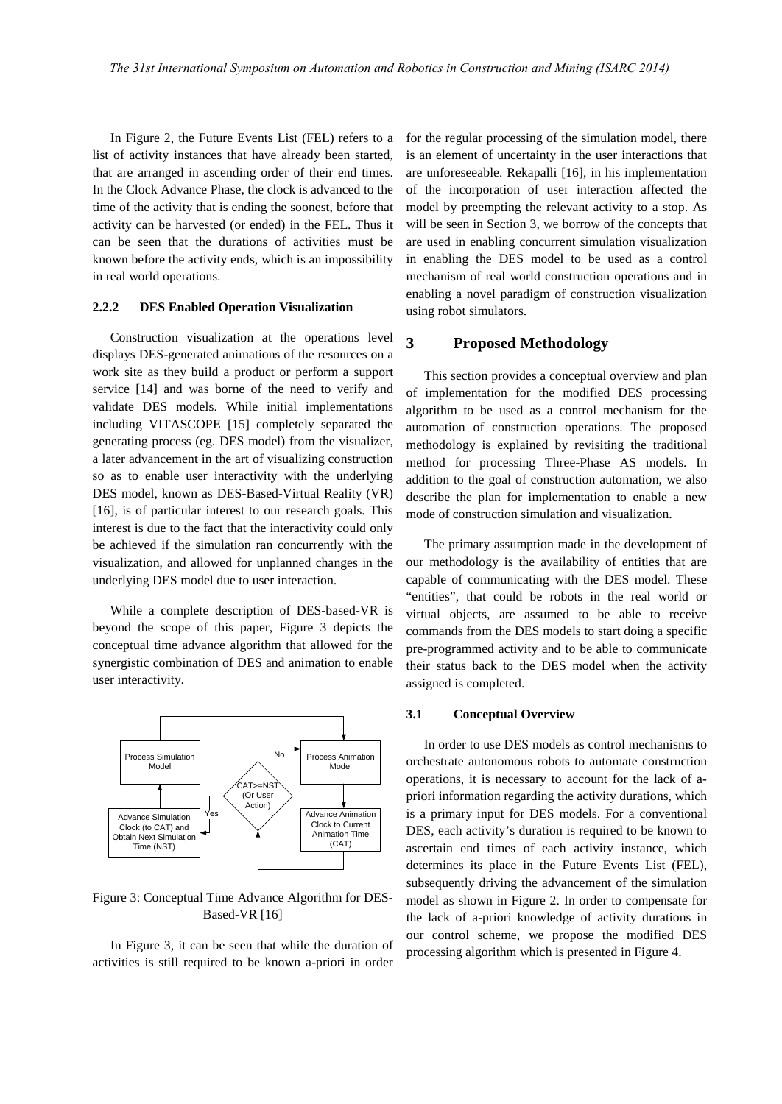In Figure 2, the Future Events List (FEL) refers to a list of activity instances that have already been started, that are arranged in ascending order of their end times. In the Clock Advance Phase, the clock is advanced to the time of the activity that is ending the soonest, before that activity can be harvested (or ended) in the FEL. Thus it can be seen that the durations of activities must be known before the activity ends, which is an impossibility in real world operations.

## **2.2.2 DES Enabled Operation Visualization**

Construction visualization at the operations level displays DES-generated animations of the resources on a work site as they build a product or perform a support service [14] and was borne of the need to verify and validate DES models. While initial implementations including VITASCOPE [15] completely separated the generating process (eg. DES model) from the visualizer, a later advancement in the art of visualizing construction so as to enable user interactivity with the underlying DES model, known as DES-Based-Virtual Reality (VR) [16], is of particular interest to our research goals. This interest is due to the fact that the interactivity could only be achieved if the simulation ran concurrently with the visualization, and allowed for unplanned changes in the underlying DES model due to user interaction.

While a complete description of DES-based-VR is beyond the scope of this paper, Figure 3 depicts the conceptual time advance algorithm that allowed for the synergistic combination of DES and animation to enable user interactivity.



Figure 3: Conceptual Time Advance Algorithm for DES-Based-VR [16]

In Figure 3, it can be seen that while the duration of activities is still required to be known a-priori in order

for the regular processing of the simulation model, there is an element of uncertainty in the user interactions that are unforeseeable. Rekapalli [16], in his implementation of the incorporation of user interaction affected the model by preempting the relevant activity to a stop. As will be seen in Section 3, we borrow of the concepts that are used in enabling concurrent simulation visualization in enabling the DES model to be used as a control mechanism of real world construction operations and in enabling a novel paradigm of construction visualization using robot simulators.

# **3 Proposed Methodology**

This section provides a conceptual overview and plan of implementation for the modified DES processing algorithm to be used as a control mechanism for the automation of construction operations. The proposed methodology is explained by revisiting the traditional method for processing Three-Phase AS models. In addition to the goal of construction automation, we also describe the plan for implementation to enable a new mode of construction simulation and visualization.

The primary assumption made in the development of our methodology is the availability of entities that are capable of communicating with the DES model. These "entities", that could be robots in the real world or virtual objects, are assumed to be able to receive commands from the DES models to start doing a specific pre-programmed activity and to be able to communicate their status back to the DES model when the activity assigned is completed.

## **3.1 Conceptual Overview**

In order to use DES models as control mechanisms to orchestrate autonomous robots to automate construction operations, it is necessary to account for the lack of apriori information regarding the activity durations, which is a primary input for DES models. For a conventional DES, each activity's duration is required to be known to ascertain end times of each activity instance, which determines its place in the Future Events List (FEL), subsequently driving the advancement of the simulation model as shown in Figure 2. In order to compensate for the lack of a-priori knowledge of activity durations in our control scheme, we propose the modified DES processing algorithm which is presented in Figure 4.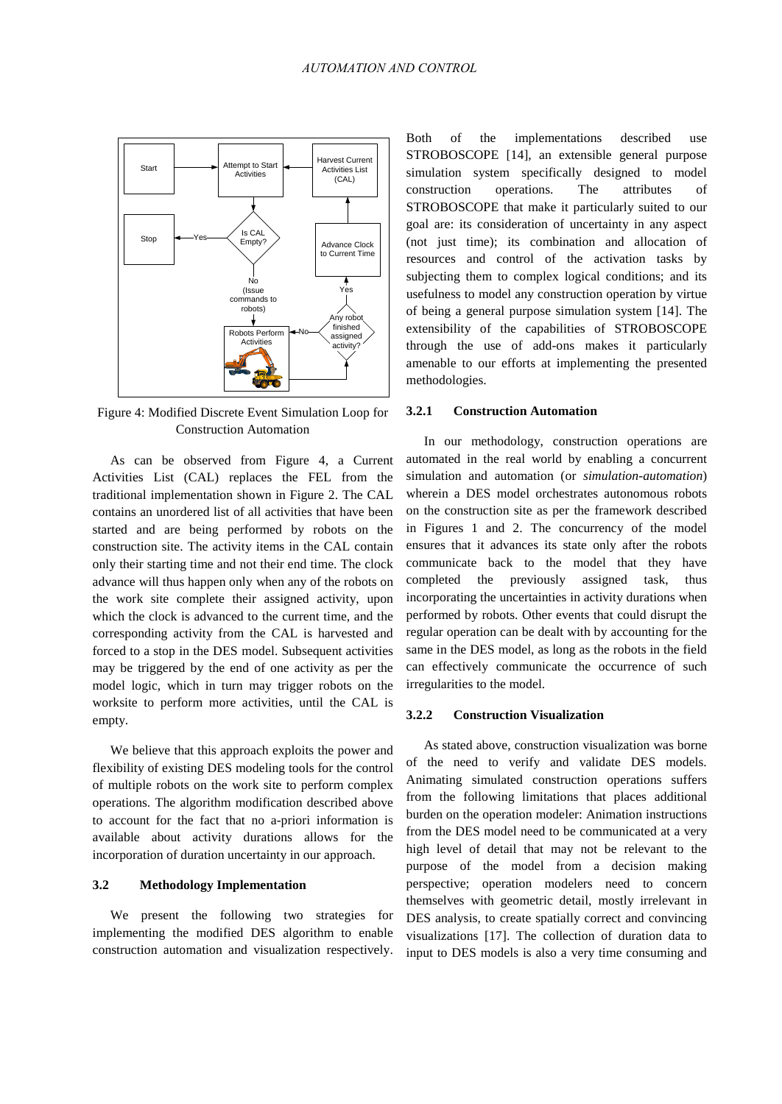

Figure 4: Modified Discrete Event Simulation Loop for Construction Automation

As can be observed from Figure 4, a Current Activities List (CAL) replaces the FEL from the traditional implementation shown in Figure 2. The CAL contains an unordered list of all activities that have been started and are being performed by robots on the construction site. The activity items in the CAL contain only their starting time and not their end time. The clock advance will thus happen only when any of the robots on the work site complete their assigned activity, upon which the clock is advanced to the current time, and the corresponding activity from the CAL is harvested and forced to a stop in the DES model. Subsequent activities may be triggered by the end of one activity as per the model logic, which in turn may trigger robots on the worksite to perform more activities, until the CAL is empty.

We believe that this approach exploits the power and flexibility of existing DES modeling tools for the control of multiple robots on the work site to perform complex operations. The algorithm modification described above to account for the fact that no a-priori information is available about activity durations allows for the incorporation of duration uncertainty in our approach.

# **3.2 Methodology Implementation**

We present the following two strategies for implementing the modified DES algorithm to enable construction automation and visualization respectively.

Both of the implementations described use STROBOSCOPE [14], an extensible general purpose simulation system specifically designed to model construction operations. The attributes of STROBOSCOPE that make it particularly suited to our goal are: its consideration of uncertainty in any aspect (not just time); its combination and allocation of resources and control of the activation tasks by subjecting them to complex logical conditions; and its usefulness to model any construction operation by virtue of being a general purpose simulation system [14]. The extensibility of the capabilities of STROBOSCOPE through the use of add-ons makes it particularly amenable to our efforts at implementing the presented methodologies.

#### **3.2.1 Construction Automation**

In our methodology, construction operations are automated in the real world by enabling a concurrent simulation and automation (or *simulation-automation*) wherein a DES model orchestrates autonomous robots on the construction site as per the framework described in Figures 1 and 2. The concurrency of the model ensures that it advances its state only after the robots communicate back to the model that they have completed the previously assigned task, thus incorporating the uncertainties in activity durations when performed by robots. Other events that could disrupt the regular operation can be dealt with by accounting for the same in the DES model, as long as the robots in the field can effectively communicate the occurrence of such irregularities to the model.

### **3.2.2 Construction Visualization**

As stated above, construction visualization was borne of the need to verify and validate DES models. Animating simulated construction operations suffers from the following limitations that places additional burden on the operation modeler: Animation instructions from the DES model need to be communicated at a very high level of detail that may not be relevant to the purpose of the model from a decision making perspective; operation modelers need to concern themselves with geometric detail, mostly irrelevant in DES analysis, to create spatially correct and convincing visualizations [17]. The collection of duration data to input to DES models is also a very time consuming and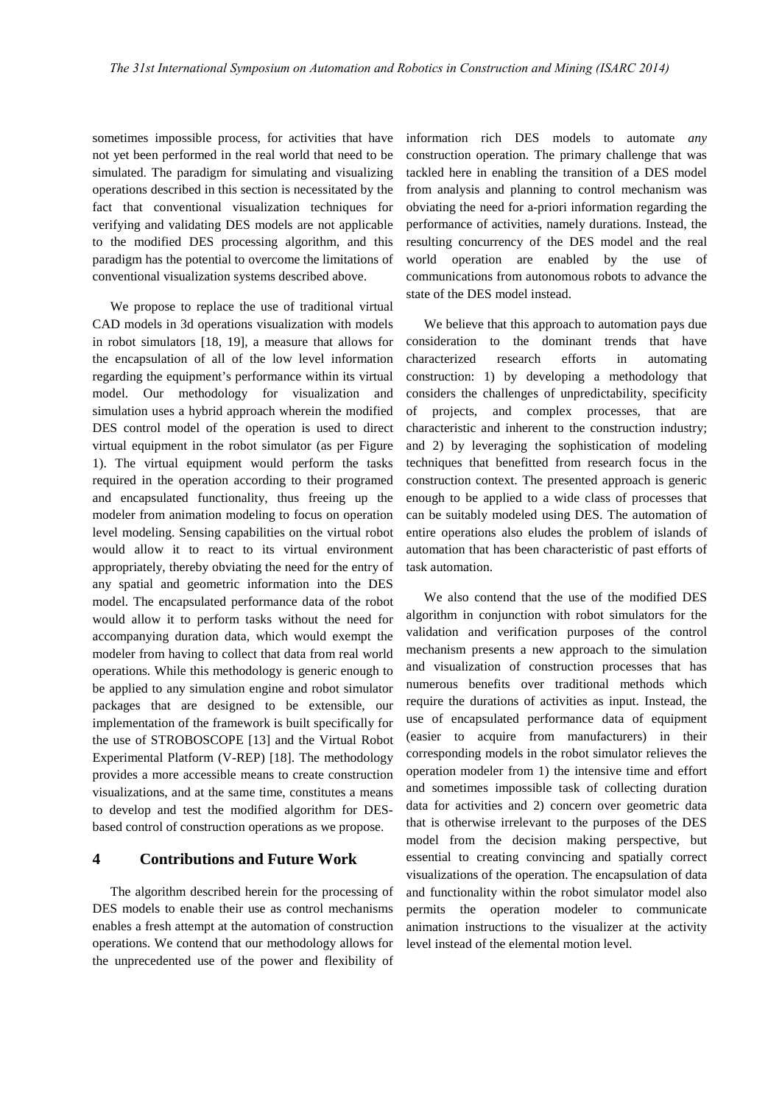sometimes impossible process, for activities that have not yet been performed in the real world that need to be simulated. The paradigm for simulating and visualizing operations described in this section is necessitated by the fact that conventional visualization techniques for verifying and validating DES models are not applicable to the modified DES processing algorithm, and this paradigm has the potential to overcome the limitations of conventional visualization systems described above.

We propose to replace the use of traditional virtual CAD models in 3d operations visualization with models in robot simulators [18, 19], a measure that allows for the encapsulation of all of the low level information regarding the equipment's performance within its virtual model. Our methodology for visualization and simulation uses a hybrid approach wherein the modified DES control model of the operation is used to direct virtual equipment in the robot simulator (as per Figure 1). The virtual equipment would perform the tasks required in the operation according to their programed and encapsulated functionality, thus freeing up the modeler from animation modeling to focus on operation level modeling. Sensing capabilities on the virtual robot would allow it to react to its virtual environment appropriately, thereby obviating the need for the entry of any spatial and geometric information into the DES model. The encapsulated performance data of the robot would allow it to perform tasks without the need for accompanying duration data, which would exempt the modeler from having to collect that data from real world operations. While this methodology is generic enough to be applied to any simulation engine and robot simulator packages that are designed to be extensible, our implementation of the framework is built specifically for the use of STROBOSCOPE [13] and the Virtual Robot Experimental Platform (V-REP) [18]. The methodology provides a more accessible means to create construction visualizations, and at the same time, constitutes a means to develop and test the modified algorithm for DESbased control of construction operations as we propose.

# **4 Contributions and Future Work**

The algorithm described herein for the processing of DES models to enable their use as control mechanisms enables a fresh attempt at the automation of construction operations. We contend that our methodology allows for the unprecedented use of the power and flexibility of information rich DES models to automate *any* construction operation. The primary challenge that was tackled here in enabling the transition of a DES model from analysis and planning to control mechanism was obviating the need for a-priori information regarding the performance of activities, namely durations. Instead, the resulting concurrency of the DES model and the real world operation are enabled by the use of communications from autonomous robots to advance the state of the DES model instead.

We believe that this approach to automation pays due consideration to the dominant trends that have characterized research efforts in automating construction: 1) by developing a methodology that considers the challenges of unpredictability, specificity of projects, and complex processes, that are characteristic and inherent to the construction industry; and 2) by leveraging the sophistication of modeling techniques that benefitted from research focus in the construction context. The presented approach is generic enough to be applied to a wide class of processes that can be suitably modeled using DES. The automation of entire operations also eludes the problem of islands of automation that has been characteristic of past efforts of task automation.

We also contend that the use of the modified DES algorithm in conjunction with robot simulators for the validation and verification purposes of the control mechanism presents a new approach to the simulation and visualization of construction processes that has numerous benefits over traditional methods which require the durations of activities as input. Instead, the use of encapsulated performance data of equipment (easier to acquire from manufacturers) in their corresponding models in the robot simulator relieves the operation modeler from 1) the intensive time and effort and sometimes impossible task of collecting duration data for activities and 2) concern over geometric data that is otherwise irrelevant to the purposes of the DES model from the decision making perspective, but essential to creating convincing and spatially correct visualizations of the operation. The encapsulation of data and functionality within the robot simulator model also permits the operation modeler to communicate animation instructions to the visualizer at the activity level instead of the elemental motion level.